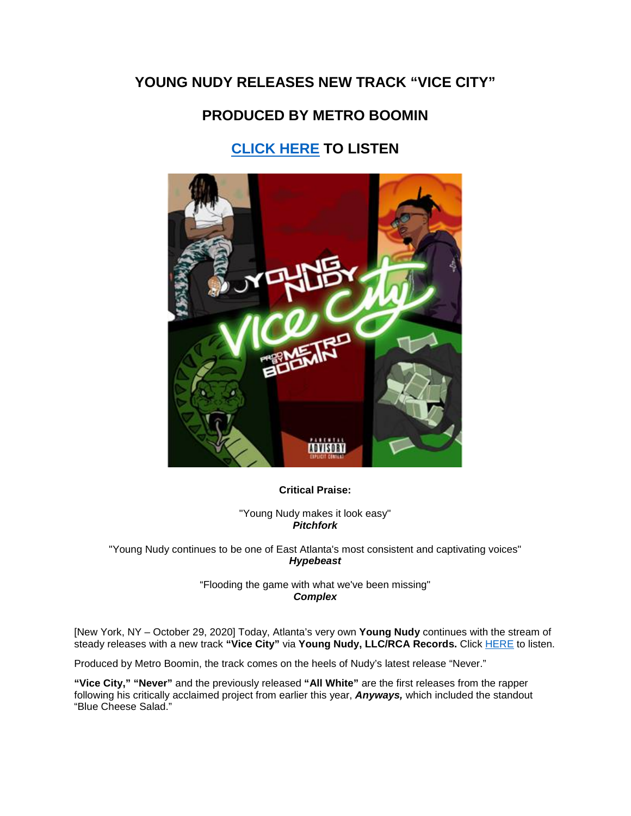## **YOUNG NUDY RELEASES NEW TRACK "VICE CITY"**

## **PRODUCED BY METRO BOOMIN**

## **[CLICK HERE](https://eur01.safelinks.protection.outlook.com/?url=https%3A%2F%2Fyoungnudy.lnk.to%2FViceCity&data=04%7C01%7Cnicole.hagiwara%40rcarecords.com%7C170314011f4e49c99db708d87c290bc9%7Cf0aff3b791a54aaeaf71c63e1dda2049%7C0%7C0%7C637395863028005104%7CUnknown%7CTWFpbGZsb3d8eyJWIjoiMC4wLjAwMDAiLCJQIjoiV2luMzIiLCJBTiI6Ik1haWwiLCJXVCI6Mn0%3D%7C1000&sdata=bXshg15VZW1qM7sNfciDrUAn5uVl1BT41Ma8%2FiWSM2w%3D&reserved=0) TO LISTEN**



**Critical Praise:**

"Young Nudy makes it look easy" *Pitchfork*

"Young Nudy continues to be one of East Atlanta's most consistent and captivating voices" *Hypebeast*

> "Flooding the game with what we've been missing" *Complex*

[New York, NY – October 29, 2020] Today, Atlanta's very own **Young Nudy** continues with the stream of steady releases with a new track **"Vice City"** via **Young Nudy, LLC/RCA Records.** Click [HERE](https://eur01.safelinks.protection.outlook.com/?url=https%3A%2F%2Fyoungnudy.lnk.to%2FViceCity&data=04%7C01%7Cnicole.hagiwara%40rcarecords.com%7C170314011f4e49c99db708d87c290bc9%7Cf0aff3b791a54aaeaf71c63e1dda2049%7C0%7C0%7C637395863028005104%7CUnknown%7CTWFpbGZsb3d8eyJWIjoiMC4wLjAwMDAiLCJQIjoiV2luMzIiLCJBTiI6Ik1haWwiLCJXVCI6Mn0%3D%7C1000&sdata=bXshg15VZW1qM7sNfciDrUAn5uVl1BT41Ma8%2FiWSM2w%3D&reserved=0) to listen.

Produced by Metro Boomin, the track comes on the heels of Nudy's latest release "Never."

**"Vice City," "Never"** and the previously released **"All White"** are the first releases from the rapper following his critically acclaimed project from earlier this year, *Anyways,* which included the standout "Blue Cheese Salad."